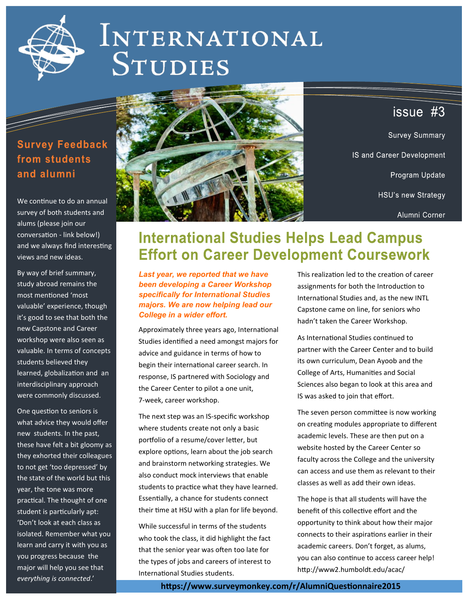

# INTERNATIONAL **STUDIES**

#### **Survey Feedback** from students and alumni

We continue to do an annual survey of both students and alums (please join our conversation - link below!) and we always find interesting views and new ideas.

By way of brief summary, study abroad remains the most mentioned 'most valuable' experience, though it's good to see that both the new Capstone and Career workshop were also seen as valuable. In terms of concepts students believed they learned, globalization and an interdisciplinary approach were commonly discussed.

One question to seniors is what advice they would offer new students. In the past, these have felt a bit gloomy as they exhorted their colleagues to not get 'too depressed' by the state of the world but this year, the tone was more practical. The thought of one student is particularly apt: 'Don't look at each class as isolated. Remember what you learn and carry it with you as you progress because the major will help you see that *everything is connected*.'



### issue  $#3$

**Survey Summary** IS and Career Development Program Update HSU's new Strategy Alumni Corner

## **International Studies Helps Lead Campus Effort on Career Development Coursework**

*Last year, we reported that we have been developing a Career Workshop specifically for International Studies majors. We are now helping lead our College in a wider effort.* 

Approximately three years ago, International Studies identified a need amongst majors for advice and guidance in terms of how to begin their international career search. In response, IS partnered with Sociology and the Career Center to pilot a one unit, 7-week, career workshop.

The next step was an IS-specific workshop where students create not only a basic portfolio of a resume/cover letter, but explore options, learn about the job search and brainstorm networking strategies. We also conduct mock interviews that enable students to practice what they have learned. Essentially, a chance for students connect their time at HSU with a plan for life beyond.

While successful in terms of the students who took the class, it did highlight the fact that the senior year was often too late for the types of jobs and careers of interest to International Studies students.

This realization led to the creation of career assignments for both the Introduction to International Studies and, as the new INTL Capstone came on line, for seniors who hadn't taken the Career Workshop.

As International Studies continued to partner with the Career Center and to build its own curriculum, Dean Ayoob and the College of Arts, Humanities and Social Sciences also began to look at this area and IS was asked to join that effort.

The seven person committee is now working on creating modules appropriate to different academic levels. These are then put on a website hosted by the Career Center so faculty across the College and the university can access and use them as relevant to their classes as well as add their own ideas.

The hope is that all students will have the benefit of this collective effort and the opportunity to think about how their major connects to their aspirations earlier in their academic careers. Don't forget, as alums, you can also continue to access career help! http://www2.humboldt.edu/acac/